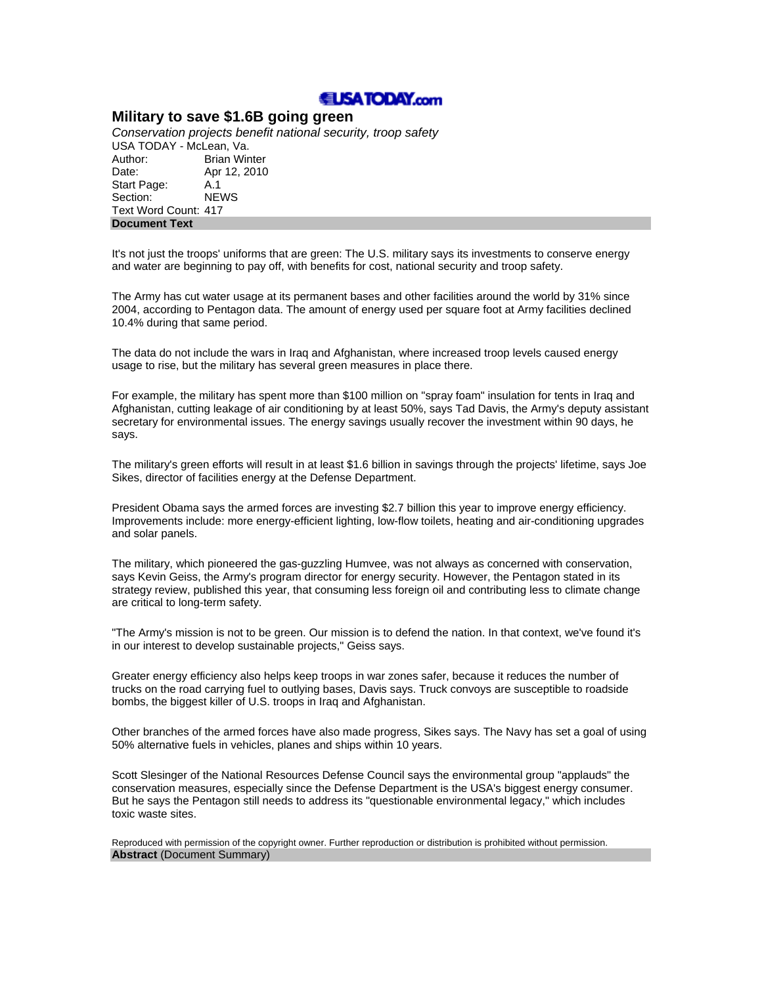## **ELISATODAY.com**

## **Military to save \$1.6B going green**

*Conservation projects benefit national security, troop safety*  USA TODAY - McLean, Va. Author: Brian Winter Date: Apr 12, 2010 Start Page: A.1 Section: NEWS Text Word Count: 417 **Document Text**

It's not just the troops' uniforms that are green: The U.S. military says its investments to conserve energy and water are beginning to pay off, with benefits for cost, national security and troop safety.

The Army has cut water usage at its permanent bases and other facilities around the world by 31% since 2004, according to Pentagon data. The amount of energy used per square foot at Army facilities declined 10.4% during that same period.

The data do not include the wars in Iraq and Afghanistan, where increased troop levels caused energy usage to rise, but the military has several green measures in place there.

For example, the military has spent more than \$100 million on "spray foam" insulation for tents in Iraq and Afghanistan, cutting leakage of air conditioning by at least 50%, says Tad Davis, the Army's deputy assistant secretary for environmental issues. The energy savings usually recover the investment within 90 days, he says.

The military's green efforts will result in at least \$1.6 billion in savings through the projects' lifetime, says Joe Sikes, director of facilities energy at the Defense Department.

President Obama says the armed forces are investing \$2.7 billion this year to improve energy efficiency. Improvements include: more energy-efficient lighting, low-flow toilets, heating and air-conditioning upgrades and solar panels.

The military, which pioneered the gas-guzzling Humvee, was not always as concerned with conservation, says Kevin Geiss, the Army's program director for energy security. However, the Pentagon stated in its strategy review, published this year, that consuming less foreign oil and contributing less to climate change are critical to long-term safety.

"The Army's mission is not to be green. Our mission is to defend the nation. In that context, we've found it's in our interest to develop sustainable projects," Geiss says.

Greater energy efficiency also helps keep troops in war zones safer, because it reduces the number of trucks on the road carrying fuel to outlying bases, Davis says. Truck convoys are susceptible to roadside bombs, the biggest killer of U.S. troops in Iraq and Afghanistan.

Other branches of the armed forces have also made progress, Sikes says. The Navy has set a goal of using 50% alternative fuels in vehicles, planes and ships within 10 years.

Scott Slesinger of the National Resources Defense Council says the environmental group "applauds" the conservation measures, especially since the Defense Department is the USA's biggest energy consumer. But he says the Pentagon still needs to address its "questionable environmental legacy," which includes toxic waste sites.

Reproduced with permission of the copyright owner. Further reproduction or distribution is prohibited without permission. **Abstract** (Document Summary)